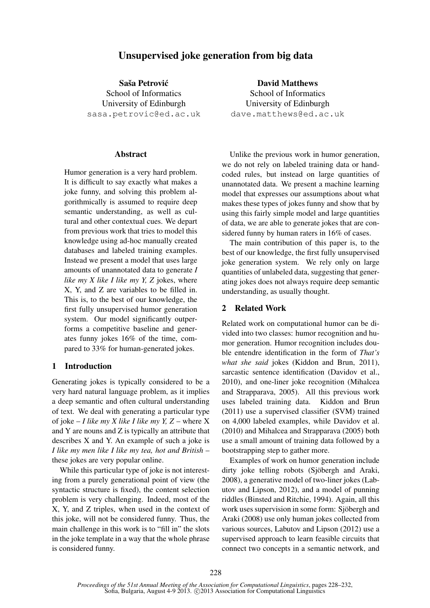# Unsupervised joke generation from big data

Saša Petrović School of Informatics University of Edinburgh sasa.petrovic@ed.ac.uk

#### Abstract

Humor generation is a very hard problem. It is difficult to say exactly what makes a joke funny, and solving this problem algorithmically is assumed to require deep semantic understanding, as well as cultural and other contextual cues. We depart from previous work that tries to model this knowledge using ad-hoc manually created databases and labeled training examples. Instead we present a model that uses large amounts of unannotated data to generate *I like my X like I like my Y, Z* jokes, where X, Y, and Z are variables to be filled in. This is, to the best of our knowledge, the first fully unsupervised humor generation system. Our model significantly outperforms a competitive baseline and generates funny jokes 16% of the time, compared to 33% for human-generated jokes.

### 1 Introduction

Generating jokes is typically considered to be a very hard natural language problem, as it implies a deep semantic and often cultural understanding of text. We deal with generating a particular type of joke – *I like my X like I like my Y, Z* – where X and Y are nouns and Z is typically an attribute that describes X and Y. An example of such a joke is *I like my men like I like my tea, hot and British* – these jokes are very popular online.

While this particular type of joke is not interesting from a purely generational point of view (the syntactic structure is fixed), the content selection problem is very challenging. Indeed, most of the X, Y, and Z triples, when used in the context of this joke, will not be considered funny. Thus, the main challenge in this work is to "fill in" the slots in the joke template in a way that the whole phrase is considered funny.

David Matthews School of Informatics University of Edinburgh dave.matthews@ed.ac.uk

Unlike the previous work in humor generation, we do not rely on labeled training data or handcoded rules, but instead on large quantities of unannotated data. We present a machine learning model that expresses our assumptions about what makes these types of jokes funny and show that by using this fairly simple model and large quantities of data, we are able to generate jokes that are considered funny by human raters in 16% of cases.

The main contribution of this paper is, to the best of our knowledge, the first fully unsupervised joke generation system. We rely only on large quantities of unlabeled data, suggesting that generating jokes does not always require deep semantic understanding, as usually thought.

### 2 Related Work

Related work on computational humor can be divided into two classes: humor recognition and humor generation. Humor recognition includes double entendre identification in the form of *That's what she said* jokes (Kiddon and Brun, 2011), sarcastic sentence identification (Davidov et al., 2010), and one-liner joke recognition (Mihalcea and Strapparava, 2005). All this previous work uses labeled training data. Kiddon and Brun (2011) use a supervised classifier (SVM) trained on 4,000 labeled examples, while Davidov et al. (2010) and Mihalcea and Strapparava (2005) both use a small amount of training data followed by a bootstrapping step to gather more.

Examples of work on humor generation include dirty joke telling robots (Sjöbergh and Araki, 2008), a generative model of two-liner jokes (Labutov and Lipson, 2012), and a model of punning riddles (Binsted and Ritchie, 1994). Again, all this work uses supervision in some form: Sjöbergh and Araki (2008) use only human jokes collected from various sources, Labutov and Lipson (2012) use a supervised approach to learn feasible circuits that connect two concepts in a semantic network, and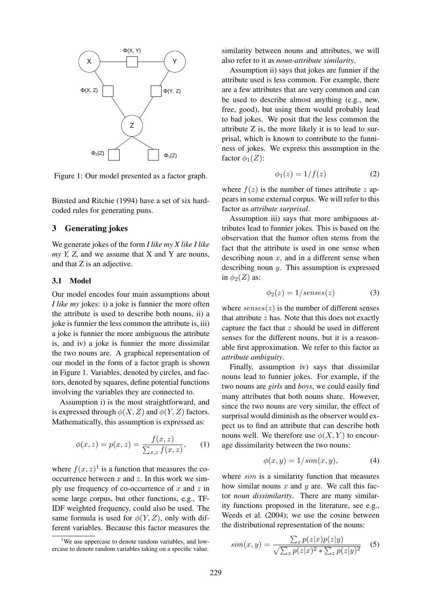

Figure 1: Our model presented as a factor graph.

Binsted and Ritchie (1994) have a set of six hardcoded rules for generating puns.

#### 3 Generating jokes

We generate jokes of the form *I like my X like I like my Y, Z*, and we assume that X and Y are nouns, and that Z is an adjective.

#### 3.1 Model

Our model encodes four main assumptions about *I like my* jokes: i) a joke is funnier the more often the attribute is used to describe both nouns, ii) a joke is funnier the less common the attribute is, iii) a joke is funnier the more ambiguous the attribute is, and iv) a joke is funnier the more dissimilar the two nouns are. A graphical representation of our model in the form of a factor graph is shown in Figure 1. Variables, denoted by circles, and factors, denoted by squares, define potential functions involving the variables they are connected to.

Assumption i) is the most straightforward, and is expressed through  $\phi(X, Z)$  and  $\phi(Y, Z)$  factors. Mathematically, this assumption is expressed as:

$$
\phi(x, z) = p(x, z) = \frac{f(x, z)}{\sum_{x, z} f(x, z)},
$$
 (1)

where  $f(x, z)^1$  is a function that measures the cooccurrence between  $x$  and  $z$ . In this work we simply use frequency of co-occurrence of  $x$  and  $z$  in some large corpus, but other functions, e.g., TF-IDF weighted frequency, could also be used. The same formula is used for  $\phi(Y, Z)$ , only with different variables. Because this factor measures the similarity between nouns and attributes, we will also refer to it as *noun-attribute similarity*.

Assumption ii) says that jokes are funnier if the attribute used is less common. For example, there are a few attributes that are very common and can be used to describe almost anything (e.g., new, free, good), but using them would probably lead to bad jokes. We posit that the less common the attribute Z is, the more likely it is to lead to surprisal, which is known to contribute to the funniness of jokes. We express this assumption in the factor  $\phi_1(Z)$ :

$$
\phi_1(z) = 1/f(z) \tag{2}
$$

where  $f(z)$  is the number of times attribute z appears in some external corpus. We will refer to this factor as *attribute surprisal*.

Assumption iii) says that more ambiguous attributes lead to funnier jokes. This is based on the observation that the humor often stems from the fact that the attribute is used in one sense when describing noun  $x$ , and in a different sense when describing noun y. This assumption is expressed in  $\phi_2(Z)$  as:

$$
\phi_2(z) = 1/senses(z) \tag{3}
$$

where  $senses(z)$  is the number of different senses that attribute  $z$  has. Note that this does not exactly capture the fact that  $z$  should be used in different senses for the different nouns, but it is a reasonable first approximation. We refer to this factor as *attribute ambiguity*.

Finally, assumption iv) says that dissimilar nouns lead to funnier jokes. For example, if the two nouns are *girls* and *boys*, we could easily find many attributes that both nouns share. However, since the two nouns are very similar, the effect of surprisal would diminish as the observer would expect us to find an attribute that can describe both nouns well. We therefore use  $\phi(X, Y)$  to encourage dissimilarity between the two nouns:

$$
\phi(x, y) = 1/sim(x, y), \tag{4}
$$

where *sim* is a similarity function that measures how similar nouns  $x$  and  $y$  are. We call this factor *noun dissimilarity*. There are many similarity functions proposed in the literature, see e.g., Weeds et al. (2004); we use the cosine between the distributional representation of the nouns:

$$
sim(x,y) = \frac{\sum_{z} p(z|x)p(z|y)}{\sqrt{\sum_{z} p(z|x)^{2} + \sum_{z} p(z|y)^{2}}}
$$
 (5)

<sup>&</sup>lt;sup>1</sup>We use uppercase to denote random variables, and lowercase to denote random variables taking on a specific value.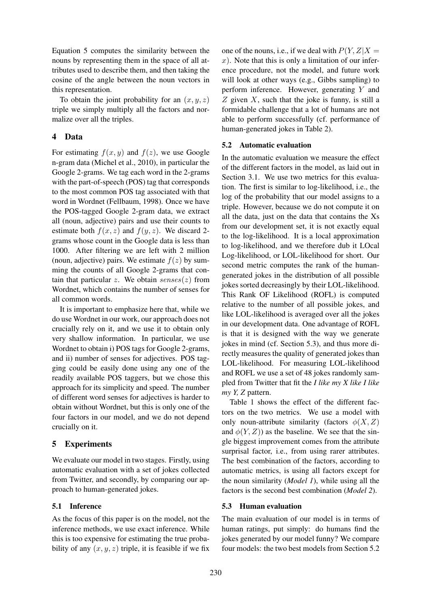Equation 5 computes the similarity between the nouns by representing them in the space of all attributes used to describe them, and then taking the cosine of the angle between the noun vectors in this representation.

To obtain the joint probability for an  $(x, y, z)$ triple we simply multiply all the factors and normalize over all the triples.

### 4 Data

For estimating  $f(x, y)$  and  $f(z)$ , we use Google n-gram data (Michel et al., 2010), in particular the Google 2-grams. We tag each word in the 2-grams with the part-of-speech (POS) tag that corresponds to the most common POS tag associated with that word in Wordnet (Fellbaum, 1998). Once we have the POS-tagged Google 2-gram data, we extract all (noun, adjective) pairs and use their counts to estimate both  $f(x, z)$  and  $f(y, z)$ . We discard 2grams whose count in the Google data is less than 1000. After filtering we are left with 2 million (noun, adjective) pairs. We estimate  $f(z)$  by summing the counts of all Google 2-grams that contain that particular z. We obtain  $senses(z)$  from Wordnet, which contains the number of senses for all common words.

It is important to emphasize here that, while we do use Wordnet in our work, our approach does not crucially rely on it, and we use it to obtain only very shallow information. In particular, we use Wordnet to obtain i) POS tags for Google 2-grams, and ii) number of senses for adjectives. POS tagging could be easily done using any one of the readily available POS taggers, but we chose this approach for its simplicity and speed. The number of different word senses for adjectives is harder to obtain without Wordnet, but this is only one of the four factors in our model, and we do not depend crucially on it.

## 5 Experiments

We evaluate our model in two stages. Firstly, using automatic evaluation with a set of jokes collected from Twitter, and secondly, by comparing our approach to human-generated jokes.

## 5.1 Inference

As the focus of this paper is on the model, not the inference methods, we use exact inference. While this is too expensive for estimating the true probability of any  $(x, y, z)$  triple, it is feasible if we fix

one of the nouns, i.e., if we deal with  $P(Y, Z|X =$  $x$ ). Note that this is only a limitation of our inference procedure, not the model, and future work will look at other ways (e.g., Gibbs sampling) to perform inference. However, generating Y and  $Z$  given  $X$ , such that the joke is funny, is still a formidable challenge that a lot of humans are not able to perform successfully (cf. performance of human-generated jokes in Table 2).

### 5.2 Automatic evaluation

In the automatic evaluation we measure the effect of the different factors in the model, as laid out in Section 3.1. We use two metrics for this evaluation. The first is similar to log-likelihood, i.e., the log of the probability that our model assigns to a triple. However, because we do not compute it on all the data, just on the data that contains the Xs from our development set, it is not exactly equal to the log-likelihood. It is a local approximation to log-likelihood, and we therefore dub it LOcal Log-likelihood, or LOL-likelihood for short. Our second metric computes the rank of the humangenerated jokes in the distribution of all possible jokes sorted decreasingly by their LOL-likelihood. This Rank OF Likelihood (ROFL) is computed relative to the number of all possible jokes, and like LOL-likelihood is averaged over all the jokes in our development data. One advantage of ROFL is that it is designed with the way we generate jokes in mind (cf. Section 5.3), and thus more directly measures the quality of generated jokes than LOL-likelihood. For measuring LOL-likelihood and ROFL we use a set of 48 jokes randomly sampled from Twitter that fit the *I like my X like I like my Y, Z* pattern.

Table 1 shows the effect of the different factors on the two metrics. We use a model with only noun-attribute similarity (factors  $\phi(X, Z)$ and  $\phi(Y, Z)$  as the baseline. We see that the single biggest improvement comes from the attribute surprisal factor, i.e., from using rarer attributes. The best combination of the factors, according to automatic metrics, is using all factors except for the noun similarity (*Model 1*), while using all the factors is the second best combination (*Model 2*).

## 5.3 Human evaluation

The main evaluation of our model is in terms of human ratings, put simply: do humans find the jokes generated by our model funny? We compare four models: the two best models from Section 5.2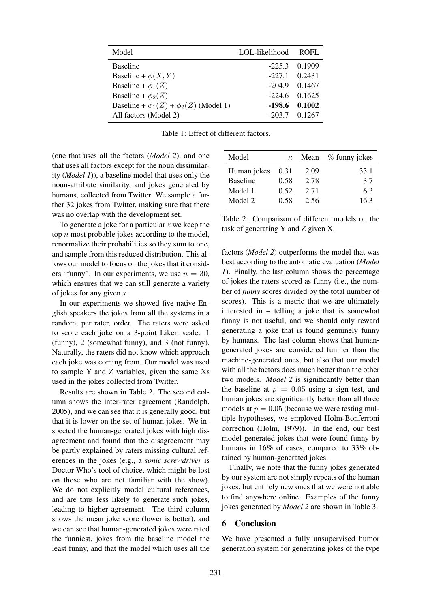| Model                                          | LOL-likelihood | ROFL.           |
|------------------------------------------------|----------------|-----------------|
| <b>Baseline</b>                                |                | $-225.3$ 0.1909 |
| Baseline + $\phi(X, Y)$                        | $-227.1$       | 0.2431          |
| Baseline + $\phi_1(Z)$                         | $-204.9$       | 0.1467          |
| Baseline + $\phi_2(Z)$                         | $-224.6$       | 0.1625          |
| Baseline + $\phi_1(Z)$ + $\phi_2(Z)$ (Model 1) | -198.6         | 0.1002          |
| All factors (Model 2)                          | $-203.7$       | 0.1267          |

Table 1: Effect of different factors.

(one that uses all the factors (*Model 2*), and one that uses all factors except for the noun dissimilarity (*Model 1*)), a baseline model that uses only the noun-attribute similarity, and jokes generated by humans, collected from Twitter. We sample a further 32 jokes from Twitter, making sure that there was no overlap with the development set.

To generate a joke for a particular *x* we keep the top  $n$  most probable jokes according to the model, renormalize their probabilities so they sum to one, and sample from this reduced distribution. This allows our model to focus on the jokes that it considers "funny". In our experiments, we use  $n = 30$ , which ensures that we can still generate a variety of jokes for any given *x*.

In our experiments we showed five native English speakers the jokes from all the systems in a random, per rater, order. The raters were asked to score each joke on a 3-point Likert scale: 1 (funny), 2 (somewhat funny), and 3 (not funny). Naturally, the raters did not know which approach each joke was coming from. Our model was used to sample Y and Z variables, given the same Xs used in the jokes collected from Twitter.

Results are shown in Table 2. The second column shows the inter-rater agreement (Randolph, 2005), and we can see that it is generally good, but that it is lower on the set of human jokes. We inspected the human-generated jokes with high disagreement and found that the disagreement may be partly explained by raters missing cultural references in the jokes (e.g., a *sonic screwdriver* is Doctor Who's tool of choice, which might be lost on those who are not familiar with the show). We do not explicitly model cultural references, and are thus less likely to generate such jokes, leading to higher agreement. The third column shows the mean joke score (lower is better), and we can see that human-generated jokes were rated the funniest, jokes from the baseline model the least funny, and that the model which uses all the

| Model           | $\kappa$ | Mean | % funny jokes |
|-----------------|----------|------|---------------|
| Human jokes     | 0.31     | 2.09 | 33.1          |
| <b>Baseline</b> | 0.58     | 2.78 | 3.7           |
| Model 1         | 0.52     | 2.71 | 6.3           |
| Model 2         | 0.58     | 2.56 | 16.3          |

Table 2: Comparison of different models on the task of generating Y and Z given X.

factors (*Model 2*) outperforms the model that was best according to the automatic evaluation (*Model 1*). Finally, the last column shows the percentage of jokes the raters scored as funny (i.e., the number of *funny* scores divided by the total number of scores). This is a metric that we are ultimately interested in – telling a joke that is somewhat funny is not useful, and we should only reward generating a joke that is found genuinely funny by humans. The last column shows that humangenerated jokes are considered funnier than the machine-generated ones, but also that our model with all the factors does much better than the other two models. *Model 2* is significantly better than the baseline at  $p = 0.05$  using a sign test, and human jokes are significantly better than all three models at  $p = 0.05$  (because we were testing multiple hypotheses, we employed Holm-Bonferroni correction (Holm, 1979)). In the end, our best model generated jokes that were found funny by humans in 16% of cases, compared to 33% obtained by human-generated jokes.

Finally, we note that the funny jokes generated by our system are not simply repeats of the human jokes, but entirely new ones that we were not able to find anywhere online. Examples of the funny jokes generated by *Model 2* are shown in Table 3.

#### 6 Conclusion

We have presented a fully unsupervised humor generation system for generating jokes of the type